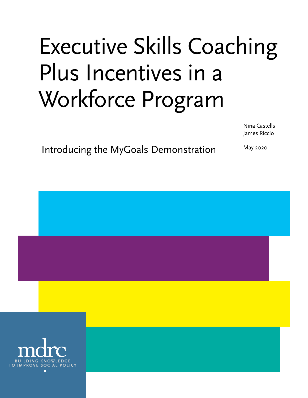# Executive Skills Coaching Plus Incentives in a Workforce Program

Nina Castells James Riccio

Introducing the MyGoals Demonstration

May 2020

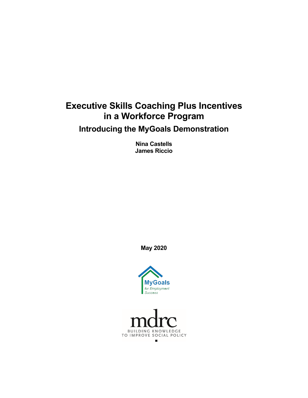# **Executive Skills Coaching Plus Incentives in a Workforce Program**

**Introducing the MyGoals Demonstration**

**Nina Castells James Riccio**

**May 2020**



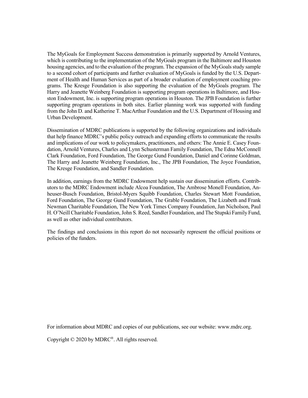The MyGoals for Employment Success demonstration is primarily supported by Arnold Ventures, which is contributing to the implementation of the MyGoals program in the Baltimore and Houston housing agencies, and to the evaluation of the program. The expansion of the MyGoals study sample to a second cohort of participants and further evaluation of MyGoals is funded by the U.S. Department of Health and Human Services as part of a broader evaluation of employment coaching programs. The Kresge Foundation is also supporting the evaluation of the MyGoals program. The Harry and Jeanette Weinberg Foundation is supporting program operations in Baltimore, and Houston Endowment, Inc. is supporting program operations in Houston. The JPB Foundation is further supporting program operations in both sites. Earlier planning work was supported with funding from the John D. and Katherine T. MacArthur Foundation and the U.S. Department of Housing and Urban Development.

Dissemination of MDRC publications is supported by the following organizations and individuals that help finance MDRC's public policy outreach and expanding efforts to communicate the results and implications of our work to policymakers, practitioners, and others: The Annie E. Casey Foundation, Arnold Ventures, Charles and Lynn Schusterman Family Foundation, The Edna McConnell Clark Foundation, Ford Foundation, The George Gund Foundation, Daniel and Corinne Goldman, The Harry and Jeanette Weinberg Foundation, Inc., The JPB Foundation, The Joyce Foundation, The Kresge Foundation, and Sandler Foundation.

In addition, earnings from the MDRC Endowment help sustain our dissemination efforts. Contributors to the MDRC Endowment include Alcoa Foundation, The Ambrose Monell Foundation, Anheuser-Busch Foundation, Bristol-Myers Squibb Foundation, Charles Stewart Mott Foundation, Ford Foundation, The George Gund Foundation, The Grable Foundation, The Lizabeth and Frank Newman Charitable Foundation, The New York Times Company Foundation, Jan Nicholson, Paul H. O'Neill Charitable Foundation, John S. Reed, Sandler Foundation, and The Stupski Family Fund, as well as other individual contributors.

The findings and conclusions in this report do not necessarily represent the official positions or policies of the funders.

For information about MDRC and copies of our publications, see our website: www.mdrc.org.

Copyright © 2020 by MDRC®. All rights reserved.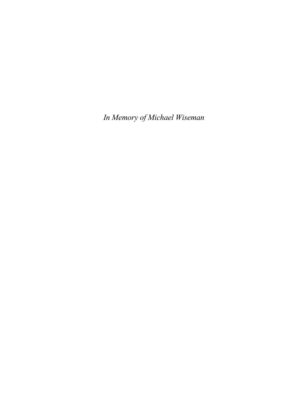*In Memory of Michael Wiseman*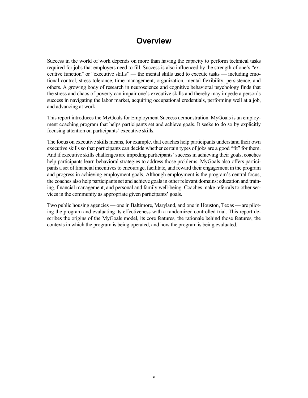## **Overview**

Success in the world of work depends on more than having the capacity to perform technical tasks required for jobs that employers need to fill. Success is also influenced by the strength of one's "executive function" or "executive skills" — the mental skills used to execute tasks — including emotional control, stress tolerance, time management, organization, mental flexibility, persistence, and others. A growing body of research in neuroscience and cognitive behavioral psychology finds that the stress and chaos of poverty can impair one's executive skills and thereby may impede a person's success in navigating the labor market, acquiring occupational credentials, performing well at a job, and advancing at work.

This report introduces the MyGoals for Employment Success demonstration. MyGoals is an employment coaching program that helps participants set and achieve goals. It seeks to do so by explicitly focusing attention on participants' executive skills.

The focus on executive skills means, for example, that coaches help participants understand their own executive skills so that participants can decide whether certain types of jobs are a good "fit" for them. And if executive skills challenges are impeding participants' success in achieving their goals, coaches help participants learn behavioral strategies to address those problems. MyGoals also offers participants a set of financial incentives to encourage, facilitate, and reward their engagement in the program and progress in achieving employment goals. Although employment is the program's central focus, the coaches also help participants set and achieve goals in other relevant domains: education and training, financial management, and personal and family well-being. Coaches make referrals to other services in the community as appropriate given participants' goals.

Two public housing agencies — one in Baltimore, Maryland, and one in Houston, Texas — are piloting the program and evaluating its effectiveness with a randomized controlled trial. This report describes the origins of the MyGoals model, its core features, the rationale behind those features, the contexts in which the program is being operated, and how the program is being evaluated.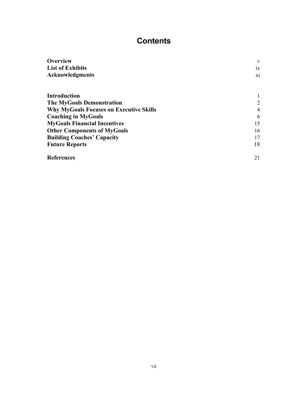# **Contents**

| <b>Overview</b>                                | V                       |
|------------------------------------------------|-------------------------|
| <b>List of Exhibits</b>                        | ix                      |
| <b>Acknowledgments</b>                         | $\overline{\mathbf{X}}$ |
| <b>Introduction</b>                            |                         |
| <b>The MyGoals Demonstration</b>               | 2                       |
| <b>Why MyGoals Focuses on Executive Skills</b> | 4                       |
| <b>Coaching in MyGoals</b>                     | 6                       |
| <b>MyGoals Financial Incentives</b>            | 15                      |
| <b>Other Components of MyGoals</b>             | 16                      |
| <b>Building Coaches' Capacity</b>              | 17                      |
| <b>Future Reports</b>                          | 18                      |
| <b>References</b>                              | 21                      |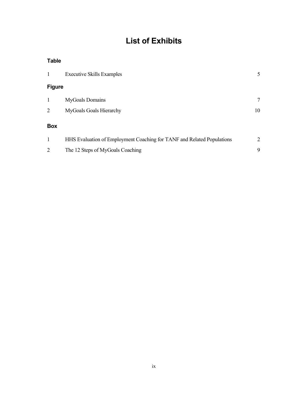# **List of Exhibits**

#### **Table**

| $\mathbf{1}$   | <b>Executive Skills Examples</b>                                       | 5              |
|----------------|------------------------------------------------------------------------|----------------|
| <b>Figure</b>  |                                                                        |                |
| $\mathbf{1}$   | <b>MyGoals Domains</b>                                                 | 7              |
| $\overline{2}$ | MyGoals Goals Hierarchy                                                | 10             |
| <b>Box</b>     |                                                                        |                |
| 1              | HHS Evaluation of Employment Coaching for TANF and Related Populations | $\overline{2}$ |
| $\overline{2}$ | The 12 Steps of MyGoals Coaching                                       | 9              |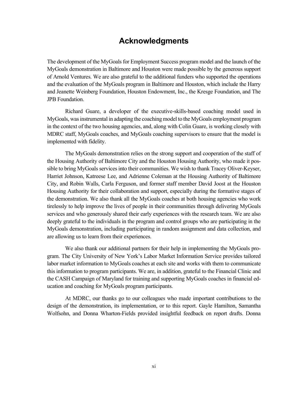## **Acknowledgments**

The development of the MyGoals for Employment Success program model and the launch of the MyGoals demonstration in Baltimore and Houston were made possible by the generous support of Arnold Ventures. We are also grateful to the additional funders who supported the operations and the evaluation of the MyGoals program in Baltimore and Houston, which include the Harry and Jeanette Weinberg Foundation, Houston Endowment, Inc., the Kresge Foundation, and The JPB Foundation.

Richard Guare, a developer of the executive-skills-based coaching model used in MyGoals, was instrumental in adapting the coaching model to the MyGoals employment program in the context of the two housing agencies, and, along with Colin Guare, is working closely with MDRC staff, MyGoals coaches, and MyGoals coaching supervisors to ensure that the model is implemented with fidelity.

The MyGoals demonstration relies on the strong support and cooperation of the staff of the Housing Authority of Baltimore City and the Houston Housing Authority, who made it possible to bring MyGoals services into their communities. We wish to thank Tracey Oliver-Keyser, Harriet Johnson, Katreese Lee, and Adrienne Coleman at the Housing Authority of Baltimore City, and Robin Walls, Carla Ferguson, and former staff member David Joost at the Houston Housing Authority for their collaboration and support, especially during the formative stages of the demonstration. We also thank all the MyGoals coaches at both housing agencies who work tirelessly to help improve the lives of people in their communities through delivering MyGoals services and who generously shared their early experiences with the research team. We are also deeply grateful to the individuals in the program and control groups who are participating in the MyGoals demonstration, including participating in random assignment and data collection, and are allowing us to learn from their experiences.

We also thank our additional partners for their help in implementing the MyGoals program. The City University of New York's Labor Market Information Service provides tailored labor market information to MyGoals coaches at each site and works with them to communicate this information to program participants. We are, in addition, grateful to the Financial Clinic and the CASH Campaign of Maryland for training and supporting MyGoals coaches in financial education and coaching for MyGoals program participants.

At MDRC, our thanks go to our colleagues who made important contributions to the design of the demonstration, its implementation, or to this report. Gayle Hamilton, Samantha Wolfsohn, and Donna Wharton-Fields provided insightful feedback on report drafts. Donna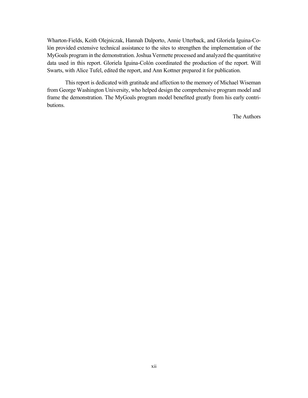Wharton-Fields, Keith Olejniczak, Hannah Dalporto, Annie Utterback, and Gloriela Iguina-Colón provided extensive technical assistance to the sites to strengthen the implementation of the MyGoals program in the demonstration. Joshua Vermette processed and analyzed the quantitative data used in this report. Gloriela Iguina-Colón coordinated the production of the report. Will Swarts, with Alice Tufel, edited the report, and Ann Kottner prepared it for publication.

This report is dedicated with gratitude and affection to the memory of Michael Wiseman from George Washington University, who helped design the comprehensive program model and frame the demonstration. The MyGoals program model benefited greatly from his early contributions.

The Authors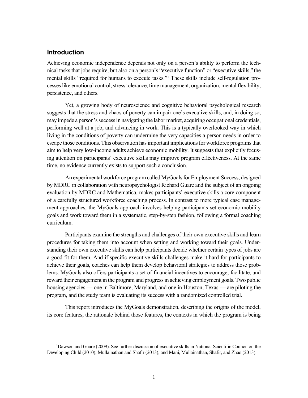#### **Introduction**

Achieving economic independence depends not only on a person's ability to perform the technical tasks that jobs require, but also on a person's "executive function" or "executive skills," the mental skills "required for humans to execute tasks."[1](#page-13-0) These skills include self-regulation processes like emotional control, stress tolerance, time management, organization, mental flexibility, persistence, and others.

Yet, a growing body of neuroscience and cognitive behavioral psychological research suggests that the stress and chaos of poverty can impair one's executive skills, and, in doing so, may impede a person's success in navigating the labor market, acquiring occupational credentials, performing well at a job, and advancing in work. This is a typically overlooked way in which living in the conditions of poverty can undermine the very capacities a person needs in order to escape those conditions. This observation has important implications for workforce programs that aim to help very low-income adults achieve economic mobility. It suggests that explicitly focusing attention on participants' executive skills may improve program effectiveness. At the same time, no evidence currently exists to support such a conclusion.

An experimental workforce program called MyGoals for Employment Success, designed by MDRC in collaboration with neuropsychologist Richard Guare and the subject of an ongoing evaluation by MDRC and Mathematica, makes participants' executive skills a core component of a carefully structured workforce coaching process. In contrast to more typical case management approaches, the MyGoals approach involves helping participants set economic mobility goals and work toward them in a systematic, step-by-step fashion, following a formal coaching curriculum.

Participants examine the strengths and challenges of their own executive skills and learn procedures for taking them into account when setting and working toward their goals. Understanding their own executive skills can help participants decide whether certain types of jobs are a good fit for them. And if specific executive skills challenges make it hard for participants to achieve their goals, coaches can help them develop behavioral strategies to address those problems. MyGoals also offers participants a set of financial incentives to encourage, facilitate, and reward their engagement in the program and progress in achieving employment goals. Two public housing agencies — one in Baltimore, Maryland, and one in Houston, Texas — are piloting the program, and the study team is evaluating its success with a randomized controlled trial.

This report introduces the MyGoals demonstration, describing the origins of the model, its core features, the rationale behind those features, the contexts in which the program is being

<span id="page-13-0"></span><sup>&</sup>lt;sup>1</sup>Dawson and Guare (2009). See further discussion of executive skills in National Scientific Council on the Developing Child (2010); Mullainathan and Shafir (2013); and Mani, Mullainathan, Shafir, and Zhao (2013).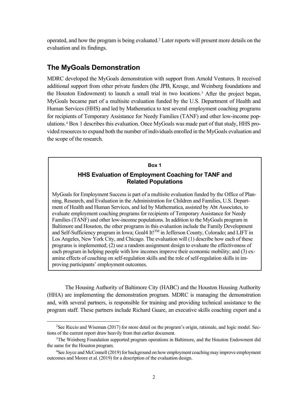operated, and how the program is being evaluated.[2](#page-14-0) Later reports will present more details on the evaluation and its findings.

#### **The MyGoals Demonstration**

MDRC developed the MyGoals demonstration with support from Arnold Ventures. It received additional support from other private funders (the JPB, Kresge, and Weinberg foundations and the Houston Endowment) to launch a small trial in two locations.[3](#page-14-1) After the project began, MyGoals became part of a multisite evaluation funded by the U.S. Department of Health and Human Services (HHS) and led by Mathematica to test several employment coaching programs for recipients of Temporary Assistance for Needy Families (TANF) and other low-income populations.[4](#page-14-2) Box 1 describes this evaluation. Once MyGoals was made part of that study, HHS provided resources to expand both the number of individuals enrolled in the MyGoals evaluation and the scope of the research.

#### **Box 1**

#### **HHS Evaluation of Employment Coaching for TANF and Related Populations**

MyGoals for Employment Success is part of a multisite evaluation funded by the Office of Planning, Research, and Evaluation in the Administration for Children and Families, U.S. Department of Health and Human Services, and led by Mathematica, assisted by Abt Associates, to evaluate employment coaching programs for recipients of Temporary Assistance for Needy Families (TANF) and other low-income populations. In addition to the MyGoals program in Baltimore and Houston, the other programs in this evaluation include the Family Development and Self-Sufficiency program in Iowa; Goal4 It!<sup>TM</sup> in Jefferson County, Colorado; and LIFT in Los Angeles, New York City, and Chicago. The evaluation will (1) describe how each of these programs is implemented; (2) use a random assignment design to evaluate the effectiveness of each program in helping people with low incomes improve their economic mobility; and (3) examine effects of coaching on self-regulation skills and the role of self-regulation skills in improving participants' employment outcomes.

The Housing Authority of Baltimore City (HABC) and the Houston Housing Authority (HHA) are implementing the demonstration program. MDRC is managing the demonstration and, with several partners, is responsible for training and providing technical assistance to the program staff. These partners include Richard Guare, an executive skills coaching expert and a

<span id="page-14-0"></span><sup>&</sup>lt;sup>2</sup>See Riccio and Wiseman (2017) for more detail on the program's origin, rationale, and logic model. Sections of the current report draw heavily from that earlier document.

<span id="page-14-1"></span><sup>&</sup>lt;sup>3</sup>The Weinberg Foundation supported program operations in Baltimore, and the Houston Endowment did the same for the Houston program.

<span id="page-14-2"></span><sup>&</sup>lt;sup>4</sup>See Joyce and McConnell (2019) for background on how employment coaching may improve employment outcomes and Moore et al. (2019) for a description of the evaluation design.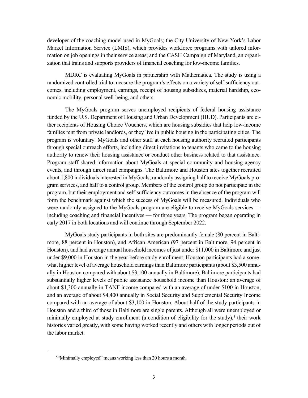developer of the coaching model used in MyGoals; the City University of New York's Labor Market Information Service (LMIS), which provides workforce programs with tailored information on job openings in their service areas; and the CASH Campaign of Maryland, an organization that trains and supports providers of financial coaching for low-income families.

MDRC is evaluating MyGoals in partnership with Mathematica. The study is using a randomized controlled trial to measure the program's effects on a variety of self-sufficiency outcomes, including employment, earnings, receipt of housing subsidizes, material hardship, economic mobility, personal well-being, and others.

The MyGoals program serves unemployed recipients of federal housing assistance funded by the U.S. Department of Housing and Urban Development (HUD). Participants are either recipients of Housing Choice Vouchers, which are housing subsidies that help low-income families rent from private landlords, or they live in public housing in the participating cities. The program is voluntary. MyGoals and other staff at each housing authority recruited participants through special outreach efforts, including direct invitations to tenants who came to the housing authority to renew their housing assistance or conduct other business related to that assistance. Program staff shared information about MyGoals at special community and housing agency events, and through direct mail campaigns. The Baltimore and Houston sites together recruited about 1,800 individuals interested in MyGoals, randomly assigning half to receive MyGoals program services, and half to a control group. Members of the control group do not participate in the program, but their employment and self-sufficiency outcomes in the absence of the program will form the benchmark against which the success of MyGoals will be measured. Individuals who were randomly assigned to the MyGoals program are eligible to receive MyGoals services including coaching and financial incentives — for three years. The program began operating in early 2017 in both locations and will continue through September 2022.

MyGoals study participants in both sites are predominantly female (80 percent in Baltimore, 88 percent in Houston), and African American (97 percent in Baltimore, 94 percent in Houston), and had average annual household incomes of just under \$11,000 in Baltimore and just under \$9,000 in Houston in the year before study enrollment. Houston participants had a somewhat higher level of average household earnings than Baltimore participants (about \$3,500 annually in Houston compared with about \$3,100 annually in Baltimore). Baltimore participants had substantially higher levels of public assistance household income than Houston: an average of about \$1,300 annually in TANF income compared with an average of under \$100 in Houston, and an average of about \$4,400 annually in Social Security and Supplemental Security Income compared with an average of about \$3,100 in Houston. About half of the study participants in Houston and a third of those in Baltimore are single parents. Although all were unemployed or minimally employed at study enrollment (a condition of eligibility for the study),<sup>5</sup> their work histories varied greatly, with some having worked recently and others with longer periods out of the labor market.

<span id="page-15-0"></span><sup>5</sup> "Minimally employed" means working less than 20 hours a month.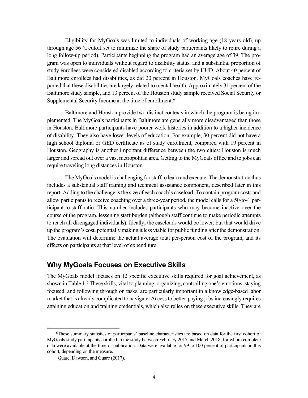Eligibility for MyGoals was limited to individuals of working age (18 years old), up through age 56 (a cutoff set to minimize the share of study participants likely to retire during a long follow-up period). Participants beginning the program had an average age of 39. The program was open to individuals without regard to disability status, and a substantial proportion of study enrollees were considered disabled according to criteria set by HUD. About 40 percent of Baltimore enrollees had disabilities, as did 20 percent in Houston. MyGoals coaches have reported that these disabilities are largely related to mental health. Approximately 31 percent of the Baltimore study sample, and 13 percent of the Houston study sample received Social Security or Supplemental Security Income at the time of enrollment.<sup>6</sup>

Baltimore and Houston provide two distinct contexts in which the program is being implemented. The MyGoals participants in Baltimore are generally more disadvantaged than those in Houston. Baltimore participants have poorer work histories in addition to a higher incidence of disability. They also have lower levels of education. For example, 30 percent did not have a high school diploma or GED certificate as of study enrollment, compared with 19 percent in Houston. Geography is another important difference between the two cities: Houston is much larger and spread out over a vast metropolitan area. Getting to the MyGoals office and to jobs can require traveling long distances in Houston.

The MyGoals model is challenging for staff to learn and execute. The demonstration thus includes a substantial staff training and technical assistance component, described later in this report. Adding to the challenge is the size of each coach's caseload. To contain program costs and allow participants to receive coaching over a three-year period, the model calls for a 50-to-1 participant-to-staff ratio. This number includes participants who may become inactive over the course of the program, lessening staff burden (although staff continue to make periodic attempts to reach all disengaged individuals). Ideally, the caseloads would be lower, but that would drive up the program's cost, potentially making it less viable for public funding after the demonstration. The evaluation will determine the actual average total per-person cost of the program, and its effects on participants at that level of expenditure.

#### **Why MyGoals Focuses on Executive Skills**

The MyGoals model focuses on 12 specific executive skills required for goal achievement, as shown in Table 1. [7](#page-16-1) These skills, vital to planning, organizing, controlling one's emotions, staying focused, and following through on tasks, are particularly important in a knowledge-based labor market that is already complicated to navigate. Access to better-paying jobs increasingly requires attaining education and training credentials, which also relies on these executive skills. They are

<span id="page-16-1"></span><span id="page-16-0"></span><sup>6</sup> These summary statistics of participants' baseline characteristics are based on data for the first cohort of MyGoals study participants enrolled in the study between February 2017 and March 2018, for whom complete data were available at the time of publication. Data were available for 99 to 100 percent of participants in this cohort, depending on the measure.

<sup>7</sup> Guare, Dawson, and Guare (2017).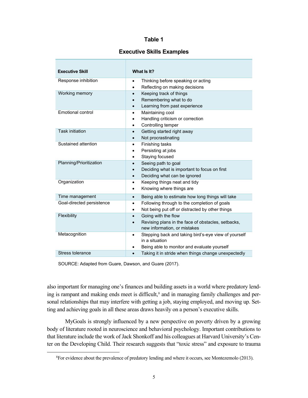#### **Table 1**

#### **Executive Skills Examples**

| <b>Executive Skill</b>    | What Is It?                                                                                                                                     |
|---------------------------|-------------------------------------------------------------------------------------------------------------------------------------------------|
| Response inhibition       | Thinking before speaking or acting<br>$\bullet$<br>Reflecting on making decisions<br>$\bullet$                                                  |
| Working memory            | Keeping track of things<br>$\bullet$<br>Remembering what to do<br>$\bullet$<br>Learning from past experience<br>$\bullet$                       |
| Emotional control         | Maintaining cool<br>$\bullet$<br>Handling criticism or correction<br>٠<br>Controlling temper<br>$\bullet$                                       |
| <b>Task initiation</b>    | Getting started right away<br>$\bullet$<br>Not procrastinating<br>$\bullet$                                                                     |
| Sustained attention       | Finishing tasks<br>$\bullet$<br>Persisting at jobs<br>Staying focused<br>$\bullet$                                                              |
| Planning/Prioritization   | Seeing path to goal<br>$\bullet$<br>Deciding what is important to focus on first<br>$\bullet$<br>Deciding what can be ignored<br>$\bullet$      |
| Organization              | Keeping things neat and tidy<br>$\bullet$<br>Knowing where things are<br>$\bullet$                                                              |
| Time management           | Being able to estimate how long things will take<br>$\bullet$                                                                                   |
| Goal-directed persistence | Following through to the completion of goals<br>$\bullet$<br>Not being put off or distracted by other things<br>$\bullet$                       |
| Flexibility               | Going with the flow<br>$\bullet$<br>Revising plans in the face of obstacles, setbacks,<br>$\bullet$<br>new information, or mistakes             |
| Metacognition             | Stepping back and taking bird's-eye view of yourself<br>$\bullet$<br>in a situation<br>Being able to monitor and evaluate yourself<br>$\bullet$ |
| Stress tolerance          | Taking it in stride when things change unexpectedly<br>$\bullet$                                                                                |

SOURCE: Adapted from Guare, Dawson, and Guare (2017).

also important for managing one's finances and building assets in a world where predatory lend-ing is rampant and making ends meet is difficult,<sup>[8](#page-17-0)</sup> and in managing family challenges and personal relationships that may interfere with getting a job, staying employed, and moving up. Setting and achieving goals in all these areas draws heavily on a person's executive skills.

MyGoals is strongly influenced by a new perspective on poverty driven by a growing body of literature rooted in neuroscience and behavioral psychology. Important contributions to that literature include the work of Jack Shonkoff and his colleagues at Harvard University's Center on the Developing Child. Their research suggests that "toxic stress" and exposure to trauma

<span id="page-17-0"></span><sup>&</sup>lt;sup>8</sup> For evidence about the prevalence of predatory lending and where it occurs, see Montezemolo (2013).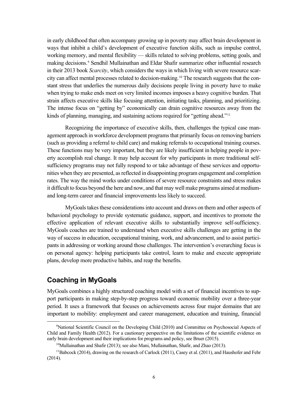in early childhood that often accompany growing up in poverty may affect brain development in ways that inhibit a child's development of executive function skills, such as impulse control, working memory, and mental flexibility — skills related to solving problems, setting goals, and making decisions. [9](#page-18-0) Sendhil Mullainathan and Eldar Shafir summarize other influential research in their 2013 book *Scarcity*, which considers the ways in which living with severe resource scarcity can affect mental processes related to decision-making.[10](#page-18-1) The research suggests that the constant stress that underlies the numerous daily decisions people living in poverty have to make when trying to make ends meet on very limited incomesimposes a heavy cognitive burden. That strain affects executive skills like focusing attention, initiating tasks, planning, and prioritizing. The intense focus on "getting by" economically can drain cognitive resources away from the kinds of planning, managing, and sustaining actions required for "getting ahead."<sup>[11](#page-18-2)</sup>

Recognizing the importance of executive skills, then, challenges the typical case management approach in workforce development programs that primarily focus on removing barriers (such as providing a referral to child care) and making referrals to occupational training courses. These functions may be very important, but they are likely insufficient in helping people in poverty accomplish real change. It may help account for why participants in more traditional selfsufficiency programs may not fully respond to or take advantage of these services and opportunities when they are presented, as reflected in disappointing program engagement and completion rates. The way the mind works under conditions of severe resource constraints and stress makes it difficult to focus beyond the here and now, and that may well make programs aimed at mediumand long-term career and financial improvements less likely to succeed.

MyGoals takes these considerations into account and draws on them and other aspects of behavioral psychology to provide systematic guidance, support, and incentives to promote the effective application of relevant executive skills to substantially improve self-sufficiency. MyGoals coaches are trained to understand when executive skills challenges are getting in the way of success in education, occupational training, work, and advancement, and to assist participants in addressing or working around those challenges. The intervention's overarching focus is on personal agency: helping participants take control, learn to make and execute appropriate plans, develop more productive habits, and reap the benefits.

#### **Coaching in MyGoals**

MyGoals combines a highly structured coaching model with a set of financial incentives to support participants in making step-by-step progress toward economic mobility over a three-year period. It uses a framework that focuses on achievements across four major domains that are important to mobility: employment and career management, education and training, financial

<span id="page-18-0"></span><sup>&</sup>lt;sup>9</sup>National Scientific Council on the Developing Child (2010) and Committee on Psychosocial Aspects of Child and Family Health (2012). For a cautionary perspective on the limitations of the scientific evidence on early brain development and their implications for programs and policy, see Bruer (2015).

<sup>10</sup>Mullainathan and Shafir (2013); see also Mani, Mullainathan, Shafir, and Zhao (2013).

<span id="page-18-2"></span><span id="page-18-1"></span> $11$ Babcock (2014), drawing on the research of Carlock (2011), Casey et al. (2011), and Haushofer and Fehr (2014).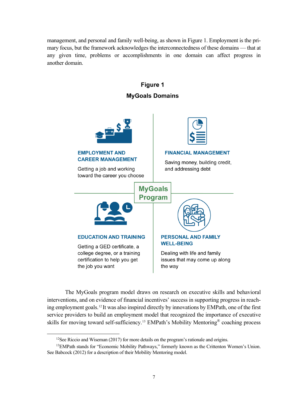management, and personal and family well-being, as shown in Figure 1. Employment is the primary focus, but the framework acknowledges the interconnectedness of these domains — that at any given time, problems or accomplishments in one domain can affect progress in another domain.



The MyGoals program model draws on research on executive skills and behavioral interventions, and on evidence of financial incentives' success in supporting progress in reaching employment goals.[12](#page-19-0) It was also inspired directly by innovations by EMPath, one of the first service providers to build an employment model that recognized the importance of executive skills for moving toward self-sufficiency.[13](#page-19-1) EMPath's Mobility Mentoring® coaching process

 $12$ See Riccio and Wiseman (2017) for more details on the program's rationale and origins.

<span id="page-19-1"></span><span id="page-19-0"></span><sup>&</sup>lt;sup>13</sup>EMPath stands for "Economic Mobility Pathways," formerly known as the Crittenton Women's Union. See Babcock (2012) for a description of their Mobility Mentoring model.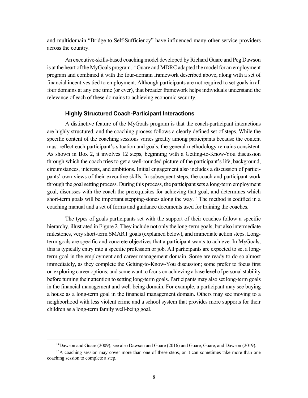and multidomain "Bridge to Self-Sufficiency" have influenced many other service providers across the country.

An executive-skills-based coaching model developed by Richard Guare and Peg Dawson is at the heart of the MyGoals program. [14](#page-20-0) Guare and MDRC adapted the model for an employment program and combined it with the four-domain framework described above, along with a set of financial incentives tied to employment. Although participants are not required to set goals in all four domains at any one time (or ever), that broader framework helps individuals understand the relevance of each of these domains to achieving economic security.

#### **Highly Structured Coach-Participant Interactions**

A distinctive feature of the MyGoals program is that the coach-participant interactions are highly structured, and the coaching process follows a clearly defined set of steps. While the specific content of the coaching sessions varies greatly among participants because the content must reflect each participant's situation and goals, the general methodology remains consistent. As shown in Box 2, it involves 12 steps, beginning with a Getting-to-Know-You discussion through which the coach tries to get a well-rounded picture of the participant's life, background, circumstances, interests, and ambitions. Initial engagement also includes a discussion of participants' own views of their executive skills. In subsequent steps, the coach and participant work through the goal setting process. During this process, the participant sets a long-term employment goal, discusses with the coach the prerequisites for achieving that goal, and determines which short-term goals will be important stepping-stones along the way.[15](#page-20-1) The method is codified in a coaching manual and a set of forms and guidance documents used for training the coaches.

The types of goals participants set with the support of their coaches follow a specific hierarchy, illustrated in Figure 2. They include not only the long-term goals, but also intermediate milestones, very short-term SMART goals (explained below), and immediate action steps. Longterm goals are specific and concrete objectives that a participant wants to achieve. In MyGoals, this is typically entry into a specific profession or job. All participants are expected to set a longterm goal in the employment and career management domain. Some are ready to do so almost immediately, as they complete the Getting-to-Know-You discussion; some prefer to focus first on exploring career options; and some want to focus on achieving a base level of personal stability before turning their attention to setting long-term goals. Participants may also set long-term goals in the financial management and well-being domain. For example, a participant may see buying a house as a long-term goal in the financial management domain. Others may see moving to a neighborhood with less violent crime and a school system that provides more supports for their children as a long-term family well-being goal.

<sup>&</sup>lt;sup>14</sup>Dawson and Guare (2009); see also Dawson and Guare (2016) and Guare, Guare, and Dawson (2019).

<span id="page-20-1"></span><span id="page-20-0"></span><sup>&</sup>lt;sup>15</sup>A coaching session may cover more than one of these steps, or it can sometimes take more than one coaching session to complete a step.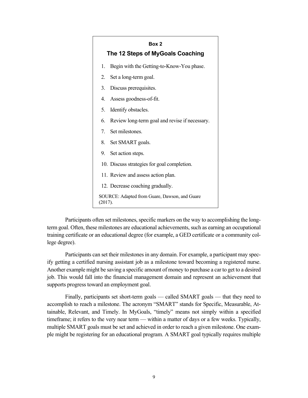| Box 2<br>The 12 Steps of MyGoals Coaching                |                                                |  |
|----------------------------------------------------------|------------------------------------------------|--|
| 1.                                                       | Begin with the Getting-to-Know-You phase.      |  |
| 2.                                                       | Set a long-term goal.                          |  |
| 3.                                                       | Discuss prerequisites.                         |  |
|                                                          | 4. Assess goodness-of-fit.                     |  |
| 5.                                                       | Identify obstacles.                            |  |
| 6                                                        | Review long-term goal and revise if necessary. |  |
|                                                          | 7. Set milestones.                             |  |
|                                                          | 8. Set SMART goals.                            |  |
|                                                          | 9. Set action steps.                           |  |
|                                                          | 10. Discuss strategies for goal completion.    |  |
|                                                          | 11. Review and assess action plan.             |  |
|                                                          | 12. Decrease coaching gradually.               |  |
| SOURCE: Adapted from Guare, Dawson, and Guare<br>(2017). |                                                |  |

Participants often set milestones, specific markers on the way to accomplishing the longterm goal. Often, these milestones are educational achievements, such as earning an occupational training certificate or an educational degree (for example, a GED certificate or a community college degree).

Participants can set their milestones in any domain. For example, a participant may specify getting a certified nursing assistant job as a milestone toward becoming a registered nurse. Another example might be saving a specific amount of money to purchase a car to get to a desired job. This would fall into the financial management domain and represent an achievement that supports progress toward an employment goal.

Finally, participants set short-term goals — called SMART goals — that they need to accomplish to reach a milestone. The acronym "SMART" stands for Specific, Measurable, Attainable, Relevant, and Timely. In MyGoals, "timely" means not simply within a specified timeframe; it refers to the very near term — within a matter of days or a few weeks. Typically, multiple SMART goals must be set and achieved in order to reach a given milestone. One example might be registering for an educational program. A SMART goal typically requires multiple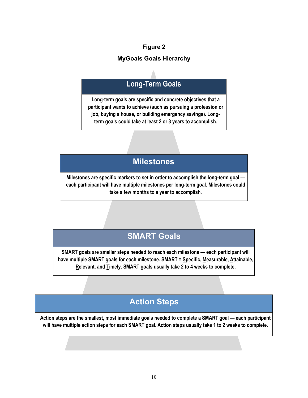#### **Figure 2**

#### **MyGoals Goals Hierarchy**

## **Long-Term Goals**

**Long-term goals are specific and concrete objectives that a participant wants to achieve (such as pursuing a profession or job, buying a house, or building emergency savings). Longterm goals could take at least 2 or 3 years to accomplish.**

## **Milestones**

**Milestones are specific markers to set in order to accomplish the long-term goal each participant will have multiple milestones per long-term goal. Milestones could take a few months to a year to accomplish.**

## **SMART Goals**

**SMART goals are smaller steps needed to reach each milestone — each participant will have multiple SMART goals for each milestone. SMART = Specific, Measurable, Attainable, Relevant, and Timely. SMART goals usually take 2 to 4 weeks to complete.**

## **Action Steps**

**Action steps are the smallest, most immediate goals needed to complete a SMART goal — each participant will have multiple action steps for each SMART goal. Action steps usually take 1 to 2 weeks to complete.**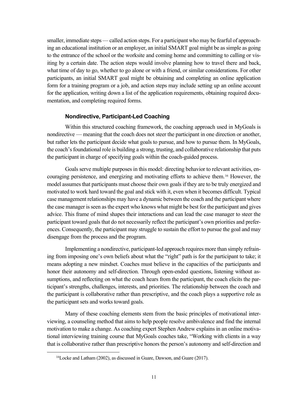smaller, immediate steps — called action steps. For a participant who may be fearful of approaching an educational institution or an employer, an initial SMART goal might be as simple as going to the entrance of the school or the worksite and coming home and committing to calling or visiting by a certain date. The action steps would involve planning how to travel there and back, what time of day to go, whether to go alone or with a friend, or similar considerations. For other participants, an initial SMART goal might be obtaining and completing an online application form for a training program or a job, and action steps may include setting up an online account for the application, writing down a list of the application requirements, obtaining required documentation, and completing required forms.

#### **Nondirective, Participant-Led Coaching**

Within this structured coaching framework, the coaching approach used in MyGoals is nondirective — meaning that the coach does not steer the participant in one direction or another, but rather lets the participant decide what goals to pursue, and how to pursue them. In MyGoals, the coach's foundational role is building a strong, trusting, and collaborative relationship that puts the participant in charge of specifying goals within the coach-guided process.

Goals serve multiple purposes in this model: directing behavior to relevant activities, encouraging persistence, and energizing and motivating efforts to achieve them.[16](#page-23-0) However, the model assumes that participants must choose their own goals if they are to be truly energized and motivated to work hard toward the goal and stick with it, even when it becomes difficult. Typical case management relationships may have a dynamic between the coach and the participant where the case manager is seen as the expert who knows what might be best for the participant and gives advice. This frame of mind shapes their interactions and can lead the case manager to steer the participant toward goals that do not necessarily reflect the participant's own priorities and preferences. Consequently, the participant may struggle to sustain the effort to pursue the goal and may disengage from the process and the program.

Implementing a nondirective, participant-led approach requires more than simply refraining from imposing one's own beliefs about what the "right" path is for the participant to take; it means adopting a new mindset. Coaches must believe in the capacities of the participants and honor their autonomy and self-direction. Through open-ended questions, listening without assumptions, and reflecting on what the coach hears from the participant, the coach elicits the participant's strengths, challenges, interests, and priorities. The relationship between the coach and the participant is collaborative rather than prescriptive, and the coach plays a supportive role as the participant sets and works toward goals.

Many of these coaching elements stem from the basic principles of motivational interviewing, a counseling method that aims to help people resolve ambivalence and find the internal motivation to make a change. As coaching expert Stephen Andrew explains in an online motivational interviewing training course that MyGoals coaches take, "Working with clients in a way that is collaborative rather than prescriptive honors the person's autonomy and self-direction and

<span id="page-23-0"></span><sup>16</sup>Locke and Latham (2002), as discussed in Guare, Dawson, and Guare (2017).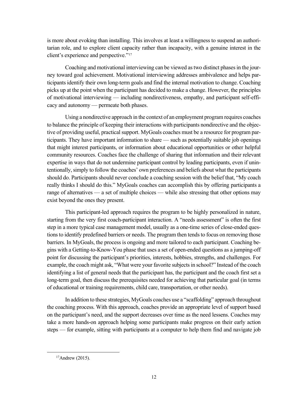is more about evoking than installing. This involves at least a willingness to suspend an authoritarian role, and to explore client capacity rather than incapacity, with a genuine interest in the client's experience and perspective."[17](#page-24-0)

Coaching and motivational interviewing can be viewed as two distinct phases in the journey toward goal achievement. Motivational interviewing addresses ambivalence and helps participants identify their own long-term goals and find the internal motivation to change. Coaching picks up at the point when the participant has decided to make a change. However, the principles of motivational interviewing — including nondirectiveness, empathy, and participant self-efficacy and autonomy — permeate both phases.

Using a nondirective approach in the context of an employment program requires coaches to balance the principle of keeping their interactions with participants nondirective and the objective of providing useful, practical support. MyGoals coaches must be a resource for program participants. They have important information to share — such as potentially suitable job openings that might interest participants, or information about educational opportunities or other helpful community resources. Coaches face the challenge of sharing that information and their relevant expertise in ways that do not undermine participant control by leading participants, even if unintentionally, simply to follow the coaches' own preferences and beliefs about what the participants should do. Participants should never conclude a coaching session with the belief that, "My coach really thinks I should do this." MyGoals coaches can accomplish this by offering participants a range of alternatives — a set of multiple choices — while also stressing that other options may exist beyond the ones they present.

This participant-led approach requires the program to be highly personalized in nature, starting from the very first coach-participant interaction. A "needs assessment" is often the first step in a more typical case management model, usually as a one-time series of close-ended questions to identify predefined barriers or needs. The program then tends to focus on removing those barriers. In MyGoals, the process is ongoing and more tailored to each participant. Coaching begins with a Getting-to-Know-You phase that uses a set of open-ended questions as a jumping-off point for discussing the participant's priorities, interests, hobbies, strengths, and challenges. For example, the coach might ask, "What were your favorite subjects in school?" Instead of the coach identifying a list of general needs that the participant has, the participant and the coach first set a long-term goal, then discuss the prerequisites needed for achieving that particular goal (in terms of educational or training requirements, child care, transportation, or other needs).

In addition to these strategies, MyGoals coaches use a "scaffolding" approach throughout the coaching process. With this approach, coaches provide an appropriate level of support based on the participant's need, and the support decreases over time as the need lessens. Coaches may take a more hands-on approach helping some participants make progress on their early action steps — for example, sitting with participants at a computer to help them find and navigate job

<span id="page-24-0"></span> $17$ Andrew (2015).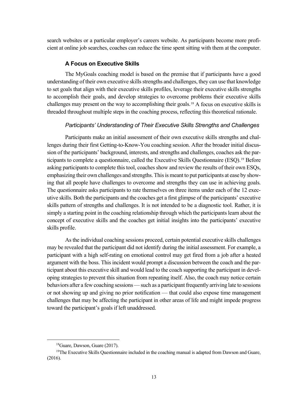search websites or a particular employer's careers website. As participants become more proficient at online job searches, coaches can reduce the time spent sitting with them at the computer.

#### **A Focus on Executive Skills**

The MyGoals coaching model is based on the premise that if participants have a good understanding of their own executive skills strengths and challenges, they can use that knowledge to set goals that align with their executive skills profiles, leverage their executive skills strengths to accomplish their goals, and develop strategies to overcome problems their executive skills challenges may present on the way to accomplishing their goals.[18](#page-25-0) A focus on executive skills is threaded throughout multiple steps in the coaching process, reflecting this theoretical rationale.

#### *Participants' Understanding of Their Executive Skills Strengths and Challenges*

Participants make an initial assessment of their own executive skills strengths and challenges during their first Getting-to-Know-You coaching session. After the broader initial discussion of the participants' background, interests, and strengths and challenges, coaches ask the participants to complete a questionnaire, called the Executive Skills Questionnaire (ESQ).[19](#page-25-1) Before asking participants to complete this tool, coaches show and review the results of their own ESQs, emphasizing their own challenges and strengths. This is meant to put participants at ease by showing that all people have challenges to overcome and strengths they can use in achieving goals. The questionnaire asks participants to rate themselves on three items under each of the 12 executive skills. Both the participants and the coaches get a first glimpse of the participants' executive skills pattern of strengths and challenges. It is not intended to be a diagnostic tool. Rather, it is simply a starting point in the coaching relationship through which the participants learn about the concept of executive skills and the coaches get initial insights into the participants' executive skills profile.

Asthe individual coaching sessions proceed, certain potential executive skills challenges may be revealed that the participant did not identify during the initial assessment. For example, a participant with a high self-rating on emotional control may get fired from a job after a heated argument with the boss. This incident would prompt a discussion between the coach and the participant about this executive skill and would lead to the coach supporting the participant in developing strategies to prevent this situation from repeating itself. Also, the coach may notice certain behaviors after a few coaching sessions—such as a participant frequently arriving late to sessions or not showing up and giving no prior notification — that could also expose time management challenges that may be affecting the participant in other areas of life and might impede progress toward the participant's goals if left unaddressed.

<sup>18</sup>Guare, Dawson, Guare (2017).

<span id="page-25-1"></span><span id="page-25-0"></span> $19$ The Executive Skills Questionnaire included in the coaching manual is adapted from Dawson and Guare, (2016).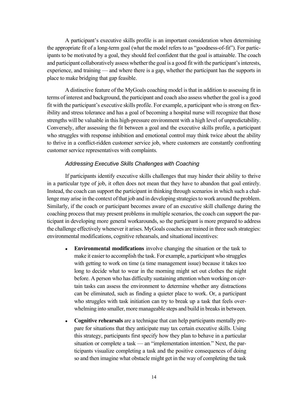A participant's executive skills profile is an important consideration when determining the appropriate fit of a long-term goal (what the model refers to as "goodness-of-fit"). For participants to be motivated by a goal, they should feel confident that the goal is attainable. The coach and participant collaboratively assess whether the goal is a good fit with the participant's interests, experience, and training — and where there is a gap, whether the participant has the supports in place to make bridging that gap feasible.

A distinctive feature of the MyGoals coaching model is that in addition to assessing fit in terms of interest and background, the participant and coach also assess whether the goal is a good fit with the participant's executive skills profile. For example, a participant who is strong on flexibility and stress tolerance and has a goal of becoming a hospital nurse will recognize that those strengths will be valuable in this high-pressure environment with a high level of unpredictability. Conversely, after assessing the fit between a goal and the executive skills profile, a participant who struggles with response inhibition and emotional control may think twice about the ability to thrive in a conflict-ridden customer service job, where customers are constantly confronting customer service representatives with complaints.

#### *Addressing Executive Skills Challenges with Coaching*

If participants identify executive skills challenges that may hinder their ability to thrive in a particular type of job, it often does not mean that they have to abandon that goal entirely. Instead, the coach can support the participant in thinking through scenarios in which such a challenge may arise in the context of that job and in developing strategies to work around the problem. Similarly, if the coach or participant becomes aware of an executive skill challenge during the coaching process that may present problems in multiple scenarios, the coach can support the participant in developing more general workarounds, so the participant is more prepared to address the challenge effectively whenever it arises. MyGoals coaches are trained in three such strategies: environmental modifications, cognitive rehearsals, and situational incentives:

- **Environmental modifications** involve changing the situation or the task to make it easier to accomplish the task. For example, a participant who struggles with getting to work on time (a time management issue) because it takes too long to decide what to wear in the morning might set out clothes the night before. A person who has difficulty sustaining attention when working on certain tasks can assess the environment to determine whether any distractions can be eliminated, such as finding a quieter place to work. Or, a participant who struggles with task initiation can try to break up a task that feels overwhelming into smaller, more manageable steps and build in breaks in between.
- **Cognitive rehearsals** are a technique that can help participants mentally prepare for situations that they anticipate may tax certain executive skills. Using this strategy, participants first specify how they plan to behave in a particular situation or complete a task — an "implementation intention." Next, the participants visualize completing a task and the positive consequences of doing so and then imagine what obstacle might get in the way of completing the task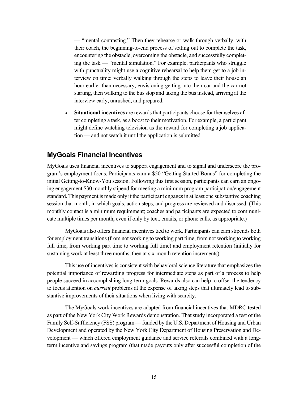— "mental contrasting." Then they rehearse or walk through verbally, with their coach, the beginning-to-end process of setting out to complete the task, encountering the obstacle, overcoming the obstacle, and successfully completing the task — "mental simulation." For example, participants who struggle with punctuality might use a cognitive rehearsal to help them get to a job interview on time: verbally walking through the steps to leave their house an hour earlier than necessary, envisioning getting into their car and the car not starting, then walking to the bus stop and taking the bus instead, arriving at the interview early, unrushed, and prepared.

**Situational incentives** are rewards that participants choose for themselves after completing a task, as a boost to their motivation. For example, a participant might define watching television as the reward for completing a job application — and not watch it until the application is submitted.

## **MyGoals Financial Incentives**

MyGoals uses financial incentives to support engagement and to signal and underscore the program's employment focus. Participants earn a \$50 "Getting Started Bonus" for completing the initial Getting-to-Know-You session. Following this first session, participants can earn an ongoing engagement \$30 monthly stipend for meeting a minimum program participation/engagement standard. This payment is made only if the participant engages in at least one substantive coaching session that month, in which goals, action steps, and progress are reviewed and discussed. (This monthly contact is a minimum requirement; coaches and participants are expected to communicate multiple times per month, even if only by text, emails, or phone calls, as appropriate.)

MyGoals also offers financial incentives tied to work. Participants can earn stipends both for employment transitions (from not working to working part time, from not working to working full time, from working part time to working full time) and employment retention (initially for sustaining work at least three months, then at six-month retention increments).

This use of incentives is consistent with behavioral science literature that emphasizes the potential importance of rewarding progress for intermediate steps as part of a process to help people succeed in accomplishing long-term goals. Rewards also can help to offset the tendency to focus attention on *current* problems at the expense of taking steps that ultimately lead to substantive improvements of their situations when living with scarcity.

The MyGoals work incentives are adapted from financial incentives that MDRC tested as part of the New York City Work Rewards demonstration. That study incorporated a test of the Family Self-Sufficiency (FSS) program —funded by the U.S. Department of Housing and Urban Development and operated by the New York City Department of Housing Preservation and Development — which offered employment guidance and service referrals combined with a longterm incentive and savings program (that made payouts only after successful completion of the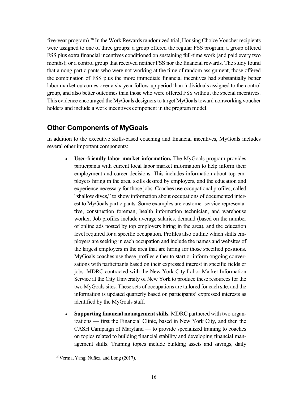five-year program).<sup>[20](#page-28-0)</sup> In the Work Rewards randomized trial, Housing Choice Voucher recipients were assigned to one of three groups: a group offered the regular FSS program; a group offered FSS plus extra financial incentives conditioned on sustaining full-time work (and paid every two months); or a control group that received neither FSS nor the financial rewards. The study found that among participants who were not working at the time of random assignment, those offered the combination of FSS plus the more immediate financial incentives had substantially better labor market outcomes over a six-year follow-up period than individuals assigned to the control group, and also better outcomes than those who were offered FSS without the special incentives. This evidence encouraged the MyGoals designers to target MyGoals toward nonworking voucher holders and include a work incentives component in the program model.

## **Other Components of MyGoals**

In addition to the executive skills-based coaching and financial incentives, MyGoals includes several other important components:

- User-friendly labor market information. The MyGoals program provides participants with current local labor market information to help inform their employment and career decisions. This includes information about top employers hiring in the area, skills desired by employers, and the education and experience necessary for those jobs. Coaches use occupational profiles, called "shallow dives," to show information about occupations of documented interest to MyGoals participants. Some examples are customer service representative, construction foreman, health information technician, and warehouse worker. Job profiles include average salaries, demand (based on the number of online ads posted by top employers hiring in the area), and the education level required for a specific occupation. Profiles also outline which skills employers are seeking in each occupation and include the names and websites of the largest employers in the area that are hiring for those specified positions. MyGoals coaches use these profiles either to start or inform ongoing conversations with participants based on their expressed interest in specific fields or jobs. MDRC contracted with the New York City Labor Market Information Service at the City University of New York to produce these resources for the two MyGoals sites. These sets of occupations are tailored for each site, and the information is updated quarterly based on participants' expressed interests as identified by the MyGoals staff.
- **Supporting financial management skills. MDRC partnered with two organ**izations — first the Financial Clinic, based in New York City, and then the CASH Campaign of Maryland — to provide specialized training to coaches on topics related to building financial stability and developing financial management skills. Training topics include building assets and savings, daily

<span id="page-28-0"></span><sup>20</sup>Verma, Yang, Nuñez, and Long (2017).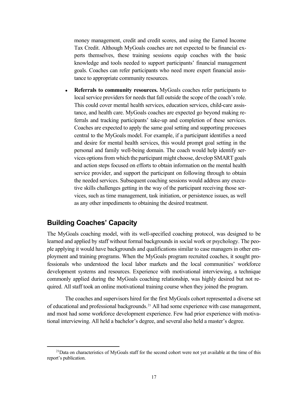money management, credit and credit scores, and using the Earned Income Tax Credit. Although MyGoals coaches are not expected to be financial experts themselves, these training sessions equip coaches with the basic knowledge and tools needed to support participants' financial management goals. Coaches can refer participants who need more expert financial assistance to appropriate community resources.

**Referrals to community resources.** MyGoals coaches refer participants to local service providers for needs that fall outside the scope of the coach's role. This could cover mental health services, education services, child-care assistance, and health care. MyGoals coaches are expected go beyond making referrals and tracking participants' take-up and completion of these services. Coaches are expected to apply the same goal setting and supporting processes central to the MyGoals model. For example, if a participant identifies a need and desire for mental health services, this would prompt goal setting in the personal and family well-being domain. The coach would help identify services options from which the participant might choose, develop SMART goals and action steps focused on efforts to obtain information on the mental health service provider, and support the participant on following through to obtain the needed services. Subsequent coaching sessions would address any executive skills challenges getting in the way of the participant receiving those services, such as time management, task initiation, or persistence issues, as well as any other impediments to obtaining the desired treatment.

### **Building Coaches' Capacity**

The MyGoals coaching model, with its well-specified coaching protocol, was designed to be learned and applied by staff without formal backgrounds in social work or psychology. The people applying it would have backgrounds and qualifications similar to case managers in other employment and training programs. When the MyGoals program recruited coaches, it sought professionals who understood the local labor markets and the local communities' workforce development systems and resources. Experience with motivational interviewing, a technique commonly applied during the MyGoals coaching relationship, was highly desired but not required. All staff took an online motivational training course when they joined the program.

The coaches and supervisors hired for the first MyGoals cohort represented a diverse set of educational and professional backgrounds.[21](#page-29-0) All had some experience with case management, and most had some workforce development experience. Few had prior experience with motivational interviewing. All held a bachelor's degree, and several also held a master's degree.

<span id="page-29-0"></span><sup>&</sup>lt;sup>21</sup>Data on characteristics of MyGoals staff for the second cohort were not yet available at the time of this report's publication.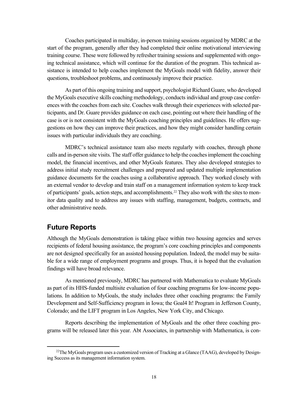Coaches participated in multiday, in-person training sessions organized by MDRC at the start of the program, generally after they had completed their online motivational interviewing training course. These were followed by refresher training sessions and supplemented with ongoing technical assistance, which will continue for the duration of the program. This technical assistance is intended to help coaches implement the MyGoals model with fidelity, answer their questions, troubleshoot problems, and continuously improve their practice.

As part of this ongoing training and support, psychologist Richard Guare, who developed the MyGoals executive skills coaching methodology, conducts individual and group case conferences with the coaches from each site. Coaches walk through their experiences with selected participants, and Dr. Guare provides guidance on each case, pointing out where their handling of the case is or is not consistent with the MyGoals coaching principles and guidelines. He offers suggestions on how they can improve their practices, and how they might consider handling certain issues with particular individuals they are coaching.

MDRC's technical assistance team also meets regularly with coaches, through phone calls and in-person site visits. The staff offer guidance to help the coaches implement the coaching model, the financial incentives, and other MyGoals features. They also developed strategies to address initial study recruitment challenges and prepared and updated multiple implementation guidance documents for the coaches using a collaborative approach. They worked closely with an external vendor to develop and train staff on a management information system to keep track of participants' goals, action steps, and accomplishments.[22](#page-30-0) They also work with the sites to monitor data quality and to address any issues with staffing, management, budgets, contracts, and other administrative needs.

#### **Future Reports**

Although the MyGoals demonstration is taking place within two housing agencies and serves recipients of federal housing assistance, the program's core coaching principles and components are not designed specifically for an assisted housing population. Indeed, the model may be suitable for a wide range of employment programs and groups. Thus, it is hoped that the evaluation findings will have broad relevance.

As mentioned previously, MDRC has partnered with Mathematica to evaluate MyGoals as part of its HHS-funded multisite evaluation of four coaching programs for low-income populations. In addition to MyGoals, the study includes three other coaching programs: the Family Development and Self-Sufficiency program in Iowa; the Goal4 It! Program in Jefferson County, Colorado; and the LIFT program in Los Angeles, New York City, and Chicago.

Reports describing the implementation of MyGoals and the other three coaching programs will be released later this year. Abt Associates, in partnership with Mathematica, is con-

<span id="page-30-0"></span> $^{22}$ The MyGoals program uses a customized version of Tracking at a Glance (TAAG), developed by Designing Success as its management information system.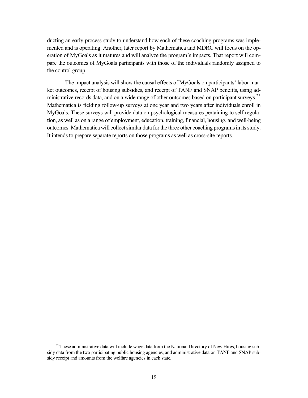ducting an early process study to understand how each of these coaching programs was implemented and is operating. Another, later report by Mathematica and MDRC will focus on the operation of MyGoals as it matures and will analyze the program's impacts. That report will compare the outcomes of MyGoals participants with those of the individuals randomly assigned to the control group.

The impact analysis will show the causal effects of MyGoals on participants' labor market outcomes, receipt of housing subsidies, and receipt of TANF and SNAP benefits, using ad-ministrative records data, and on a wide range of other outcomes based on participant surveys.<sup>[23](#page-31-0)</sup> Mathematica is fielding follow-up surveys at one year and two years after individuals enroll in MyGoals. These surveys will provide data on psychological measures pertaining to self-regulation, as well as on a range of employment, education, training, financial, housing, and well-being outcomes. Mathematica will collect similar data for the three other coaching programs in its study. It intends to prepare separate reports on those programs as well as cross-site reports.

<span id="page-31-0"></span><sup>&</sup>lt;sup>23</sup>These administrative data will include wage data from the National Directory of New Hires, housing subsidy data from the two participating public housing agencies, and administrative data on TANF and SNAP subsidy receipt and amounts from the welfare agencies in each state.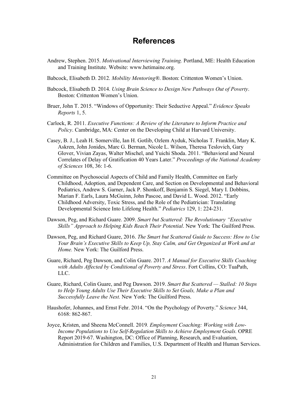## **References**

- Andrew, Stephen. 2015. *Motivational Interviewing Training.* Portland, ME: Health Education and Training Institute. Website: www.hetimaine.org.
- Babcock, Elisabeth D. 2012. *Mobility Mentoring®*. Boston: Crittenton Women's Union.
- Babcock, Elisabeth D. 2014. *Using Brain Science to Design New Pathways Out of Poverty*. Boston: Crittenton Women's Union.
- Bruer, John T. 2015. "Windows of Opportunity: Their Seductive Appeal." *Evidence Speaks Reports* 1, 5.
- Carlock, R. 2011. *Executive Functions: A Review of the Literature to Inform Practice and Policy*. Cambridge, MA: Center on the Developing Child at Harvard University.
- Casey, B. J., Leah H. Somerville, Ian H. Gotlib, Ozlem Ayduk, Nicholas T. Franklin, Mary K. Askren, John Jonides, Marc G. Berman, Nicole L. Wilson, Theresa Teslovich, Gary Glover, Vivian Zayas, Walter Mischel, and Yuichi Shoda. 2011. "Behavioral and Neural Correlates of Delay of Gratification 40 Years Later." *Proceedings of the National Academy of Sciences* 108, 36: 1-6.
- Committee on Psychosocial Aspects of Child and Family Health, Committee on Early Childhood, Adoption, and Dependent Care, and Section on Developmental and Behavioral Pediatrics, Andrew S. Garner, Jack P. Shonkoff, Benjamin S. Siegel, Mary I. Dobbins, Marian F. Earls, Laura McGuinn, John Pascoe, and David L. Wood. 2012. "Early Childhood Adversity, Toxic Stress, and the Role of the Pediatrician: Translating Developmental Science Into Lifelong Health." *Pediatrics* 129, 1: 224-231.
- Dawson, Peg, and Richard Guare. 2009. *Smart but Scattered: The Revolutionary "Executive Skills" Approach to Helping Kids Reach Their Potential*. New York: The Guilford Press.
- Dawson, Peg, and Richard Guare, 2016. *The Smart but Scattered Guide to Success: How to Use Your Brain's Executive Skills to Keep Up, Stay Calm, and Get Organized at Work and at Home.* New York: The Guilford Press.
- Guare, Richard, Peg Dawson, and Colin Guare. 2017. *A Manual for Executive Skills Coaching with Adults Affected by Conditional of Poverty and Stress*. Fort Collins, CO: TuaPath, LLC.
- Guare, Richard, Colin Guare, and Peg Dawson. 2019. *Smart But Scattered — Stalled: 10 Steps to Help Young Adults Use Their Executive Skills to Set Goals, Make a Plan and Successfully Leave the Nest.* New York: The Guilford Press.
- Haushofer, Johannes, and Ernst Fehr. 2014. "On the Psychology of Poverty." *Science* 344, 6168: 862-867.
- Joyce, Kristen, and Sheena McConnell. 2019*. Employment Coaching: Working with Low-Income Populations to Use Self-Regulation Skills to Achieve Employment Goals.* OPRE Report 2019-67. Washington, DC: Office of Planning, Research, and Evaluation, Administration for Children and Families, U.S. Department of Health and Human Services.